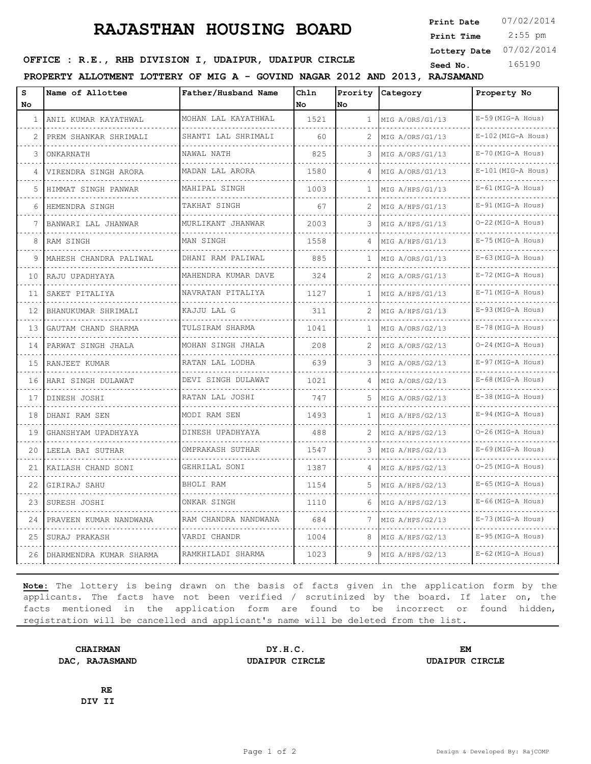## **RAJASTHAN HOUSING BOARD**

 2:55 pm **Print Date**  $07/02/2014$ **Print Time Lottery Date** 07/02/2014

## **SEED OFFICE : R.E., RHB DIVISION I, UDAIPUR, UDAIPUR CIRCLE** Seed No. 165190

**PROPERTY ALLOTMENT LOTTERY OF MIG A - GOVIND NAGAR 2012 AND 2013, RAJSAMAND**

| s<br>No | Name of Allottee        | Father/Husband Name      | Chln<br>No. | No | Prority Category | Property No               |
|---------|-------------------------|--------------------------|-------------|----|------------------|---------------------------|
| 1       | ANIL KUMAR KAYATHWAL    | MOHAN LAL KAYATHWAL      | 1521        | 1  | MIG A/ORS/G1/13  | E-59 (MIG-A Hous)         |
| 2       | PREM SHANKAR SHRIMALI   | SHANTI LAL SHRIMALI      | 60          | 2  | MIG A/ORS/G1/13  | .<br>$E-102$ (MIG-A Hous) |
| 3       | ONKARNATH               | NAWAL NATH               | 825         | 3  | MIG A/ORS/G1/13  | $E-70$ (MIG-A Hous)       |
| 4       | VIRENDRA SINGH ARORA    | MADAN LAL ARORA<br>.     | 1580        | 4  | MIG A/ORS/G1/13  | $E-101$ (MIG-A Hous)      |
| 5       | HIMMAT SINGH PANWAR     | MAHIPAL SINGH            | 1003        | 1  | MIG A/HPS/G1/13  | $E-61$ (MIG-A Hous)       |
| 6       | HEMENDRA SINGH          | TAKHAT SINGH             | 67          | 2  | MIG A/HPS/G1/13  | $E-91$ (MIG-A Hous)       |
| 7       | BANWARI LAL JHANWAR     | MURLIKANT JHANWAR        | 2003        | 3  | MIG A/HPS/G1/13  | O-22 (MIG-A Hous)<br>.    |
| 8       | RAM SINGH               | MAN SINGH                | 1558        |    | MIG A/HPS/G1/13  | $E-75$ (MIG-A Hous)       |
| 9       | MAHESH CHANDRA PALIWAL  | DHANI RAM PALIWAL        | 885         | 1  | MIG A/ORS/G1/13  | $E-63$ (MIG-A Hous)       |
| 10      | RAJU UPADHYAYA          | MAHENDRA KUMAR DAVE<br>. | 324         |    | MIG A/ORS/G1/13  | $E-72$ (MIG-A Hous)<br>.  |
| 11      | SAKET PITALIYA          | NAVRATAN PITALIYA        | 1127        | п. | MIG A/HPS/G1/13  | $E-71$ (MIG-A Hous)       |
| 12      | BHANUKUMAR SHRIMALI     | KAJJU LAL G              | 311         | 2  | MIG A/HPS/G1/13  | $E-93$ (MIG-A Hous)       |
| 13      | GAUTAM CHAND SHARMA     | TULSIRAM SHARMA          | 1041        | 1  | MIG A/ORS/G2/13  | E-78 (MIG-A Hous)         |
| 14      | PARWAT SINGH JHALA      | MOHAN SINGH JHALA        | 208         |    | MIG A/ORS/G2/13  | O-24 (MIG-A Hous)         |
| 15      | RANJEET KUMAR           | RATAN LAL LODHA<br>.     | 639         | 3  | MIG A/ORS/G2/13  | E-97 (MIG-A Hous)         |
| 16      | HARI SINGH DULAWAT      | DEVI SINGH DULAWAT       | 1021        | 4  | MIG A/ORS/G2/13  | $E-68$ (MIG-A Hous)       |
| 17      | DINESH JOSHI            | RATAN LAL JOSHI          | 747         |    | MIG A/ORS/G2/13  | $E-38$ (MIG-A Hous)       |
| 18      | DHANI RAM SEN           | MODI RAM SEN             | 1493        | 1  | MIG A/HPS/G2/13  | E-94 (MIG-A Hous)         |
| 19      | GHANSHYAM UPADHYAYA     | DINESH UPADHYAYA         | 488         |    | MIG A/HPS/G2/13  | O-26 (MIG-A Hous)         |
| 20      | LEELA BAI SUTHAR        | OMPRAKASH SUTHAR         | 1547        | 3  | MIG A/HPS/G2/13  | $E-69$ (MIG-A Hous)       |
| 21      | KAILASH CHAND SONI      | GEHRILAL SONI            | 1387        | 4  | MIG A/HPS/G2/13  | O-25 (MIG-A Hous)         |
| 22      | GIRIRAJ SAHU            | BHOLI RAM                | 1154        | 5  | MIG A/HPS/G2/13  | $E-65$ (MIG-A Hous)       |
| 23      | SURESH JOSHI            | ONKAR SINGH              | 1110        | 6  | MIG A/HPS/G2/13  | $E-66$ (MIG-A Hous)       |
| 24      | PRAVEEN KUMAR NANDWANA  | RAM CHANDRA NANDWANA     | 684         |    | MIG A/HPS/G2/13  | $E-73$ (MIG-A Hous)       |
| 25      | SURAJ PRAKASH           | VARDI CHANDR             | 1004        | 8  | MIG A/HPS/G2/13  | $E-95$ (MIG-A Hous)       |
| 26      | DHARMENDRA KUMAR SHARMA | RAMKHILADI SHARMA        | 1023        | 9  | MIG A/HPS/G2/13  | $E-62$ (MIG-A Hous)       |

**Note:** The lottery is being drawn on the basis of facts given in the application form by the applicants. The facts have not been verified / scrutinized by the board. If later on, the facts mentioned in the application form are found to be incorrect or found hidden, registration will be cancelled and applicant's name will be deleted from the list.

**CHAIRMAN DY.H.C. EM DAC, RAJASMAND UDAIPUR CIRCLE UDAIPUR CIRCLE**

**RE DIV II**